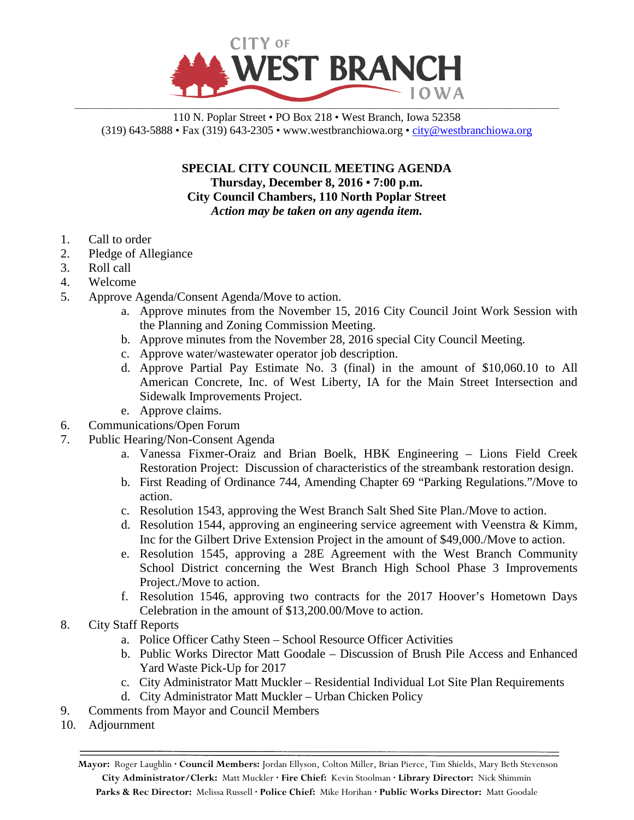

110 N. Poplar Street • PO Box 218 • West Branch, Iowa 52358 (319) 643-5888 • Fax (319) 643-2305 • www.westbranchiowa.org •  $\text{city@westbranchiowa.org}$ 

> **SPECIAL CITY COUNCIL MEETING AGENDA Thursday, December 8, 2016 • 7:00 p.m. City Council Chambers, 110 North Poplar Street** *Action may be taken on any agenda item.*

- 1. Call to order
- 2. Pledge of Allegiance
- 3. Roll call
- 4. Welcome
- 5. Approve Agenda/Consent Agenda/Move to action.
	- a. Approve minutes from the November 15, 2016 City Council Joint Work Session with the Planning and Zoning Commission Meeting.
	- b. Approve minutes from the November 28, 2016 special City Council Meeting.
	- c. Approve water/wastewater operator job description.
	- d. Approve Partial Pay Estimate No. 3 (final) in the amount of \$10,060.10 to All American Concrete, Inc. of West Liberty, IA for the Main Street Intersection and Sidewalk Improvements Project.
	- e. Approve claims.
- 6. Communications/Open Forum
- 7. Public Hearing/Non-Consent Agenda
	- a. Vanessa Fixmer-Oraiz and Brian Boelk, HBK Engineering Lions Field Creek Restoration Project: Discussion of characteristics of the streambank restoration design.
	- b. First Reading of Ordinance 744, Amending Chapter 69 "Parking Regulations."/Move to action.
	- c. Resolution 1543, approving the West Branch Salt Shed Site Plan./Move to action.
	- d. Resolution 1544, approving an engineering service agreement with Veenstra & Kimm, Inc for the Gilbert Drive Extension Project in the amount of \$49,000./Move to action.
	- e. Resolution 1545, approving a 28E Agreement with the West Branch Community School District concerning the West Branch High School Phase 3 Improvements Project./Move to action.
	- f. Resolution 1546, approving two contracts for the 2017 Hoover's Hometown Days Celebration in the amount of \$13,200.00/Move to action.
- 8. City Staff Reports
	- a. Police Officer Cathy Steen School Resource Officer Activities
	- b. Public Works Director Matt Goodale Discussion of Brush Pile Access and Enhanced Yard Waste Pick-Up for 2017
	- c. City Administrator Matt Muckler Residential Individual Lot Site Plan Requirements
	- d. City Administrator Matt Muckler Urban Chicken Policy
- 9. Comments from Mayor and Council Members
- 10. Adjournment

**Mayor:** Roger Laughlin **· Council Members:** Jordan Ellyson, Colton Miller, Brian Pierce, Tim Shields, Mary Beth Stevenson **City Administrator/Clerk:** Matt Muckler **· Fire Chief:** Kevin Stoolman **· Library Director:** Nick Shimmin **Parks & Rec Director:** Melissa Russell **· Police Chief:** Mike Horihan **· Public Works Director:** Matt Goodale